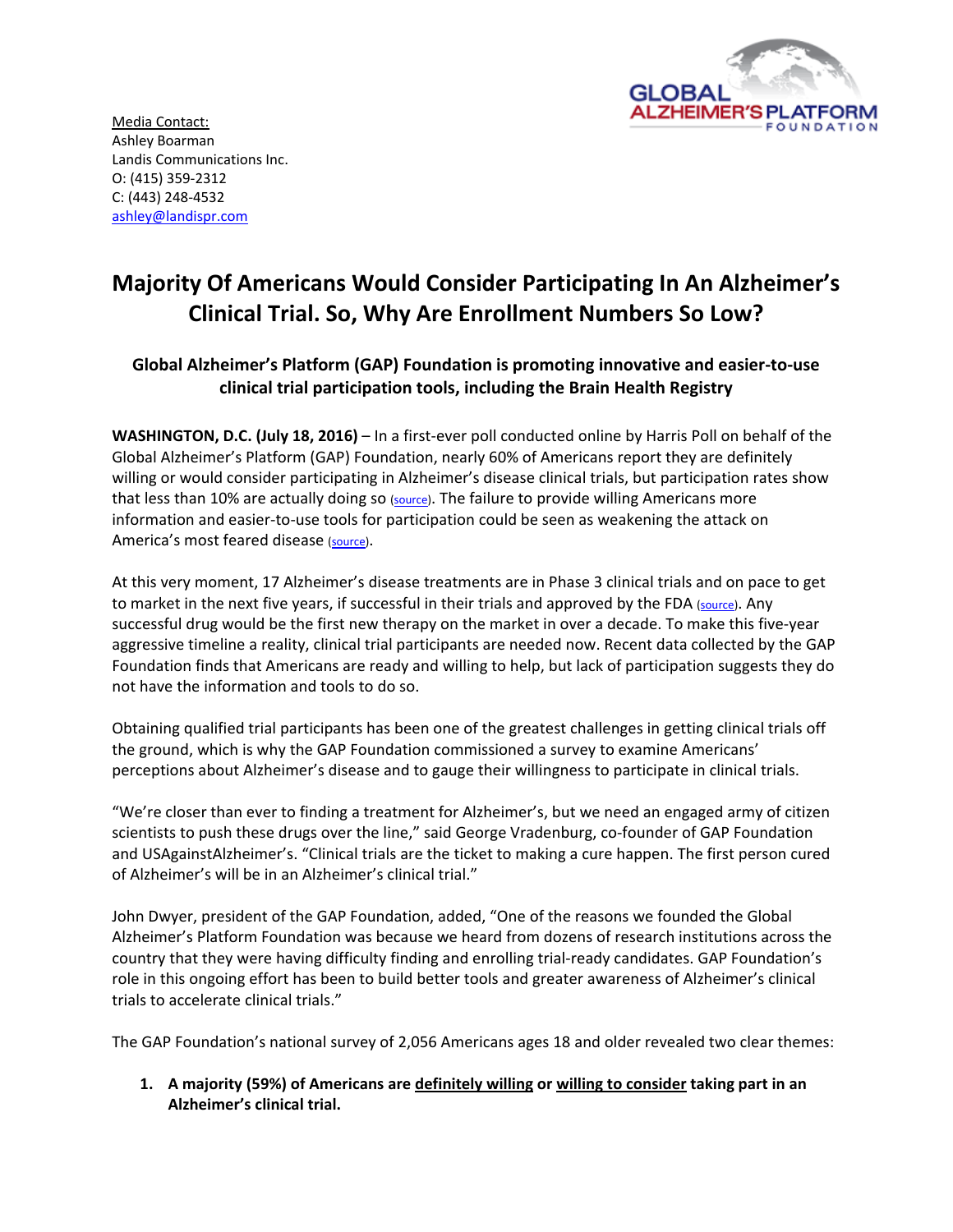

Media Contact: Ashley Boarman Landis Communications Inc. O: (415) 359‐2312 C: (443) 248‐4532 ashley@landispr.com

# **Majority Of Americans Would Consider Participating In An Alzheimer's Clinical Trial. So, Why Are Enrollment Numbers So Low?**

## **Global Alzheimer's Platform (GAP) Foundation is promoting innovative and easier‐to‐use clinical trial participation tools, including the Brain Health Registry**

**WASHINGTON, D.C. (July 18, 2016)** – In a first‐ever poll conducted online by Harris Poll on behalf of the Global Alzheimer's Platform (GAP) Foundation, nearly 60% of Americans report they are definitely willing or would consider participating in Alzheimer's disease clinical trials, but participation rates show that less than 10% are actually doing so (source). The failure to provide willing Americans more information and easier-to-use tools for participation could be seen as weakening the attack on America's most feared disease (source).

At this very moment, 17 Alzheimer's disease treatments are in Phase 3 clinical trials and on pace to get to market in the next five years, if successful in their trials and approved by the FDA (source). Any successful drug would be the first new therapy on the market in over a decade. To make this five‐year aggressive timeline a reality, clinical trial participants are needed now. Recent data collected by the GAP Foundation finds that Americans are ready and willing to help, but lack of participation suggests they do not have the information and tools to do so.

Obtaining qualified trial participants has been one of the greatest challenges in getting clinical trials off the ground, which is why the GAP Foundation commissioned a survey to examine Americans' perceptions about Alzheimer's disease and to gauge their willingness to participate in clinical trials.

"We're closer than ever to finding a treatment for Alzheimer's, but we need an engaged army of citizen scientists to push these drugs over the line," said George Vradenburg, co-founder of GAP Foundation and USAgainstAlzheimer's. "Clinical trials are the ticket to making a cure happen. The first person cured of Alzheimer's will be in an Alzheimer's clinical trial."

John Dwyer, president of the GAP Foundation, added, "One of the reasons we founded the Global Alzheimer's Platform Foundation was because we heard from dozens of research institutions across the country that they were having difficulty finding and enrolling trial‐ready candidates. GAP Foundation's role in this ongoing effort has been to build better tools and greater awareness of Alzheimer's clinical trials to accelerate clinical trials."

The GAP Foundation's national survey of 2,056 Americans ages 18 and older revealed two clear themes:

**1. A majority (59%) of Americans are definitely willing or willing to consider taking part in an Alzheimer's clinical trial.**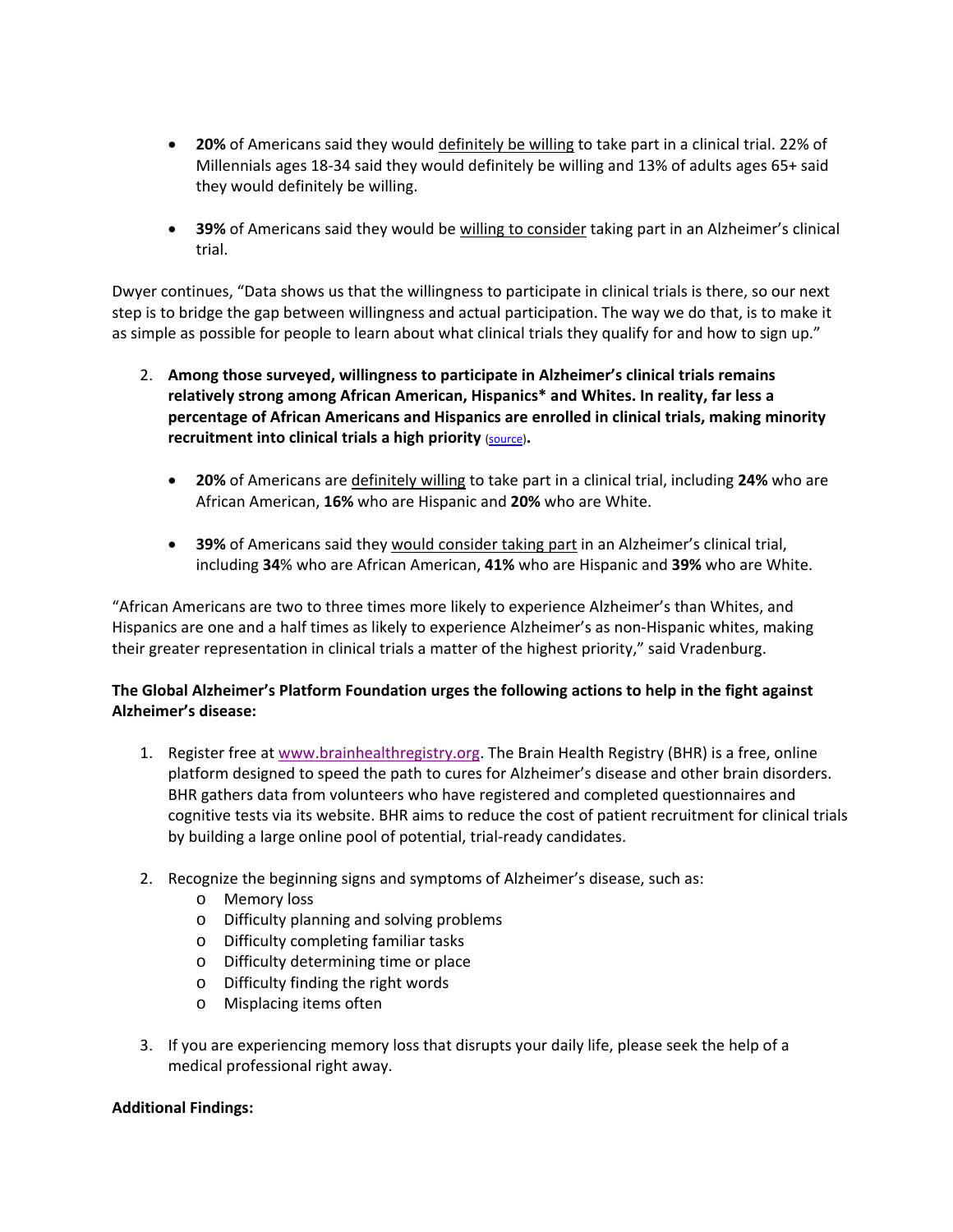- **20%** of Americans said they would definitely be willing to take part in a clinical trial. 22% of Millennials ages 18‐34 said they would definitely be willing and 13% of adults ages 65+ said they would definitely be willing.
- **39%** of Americans said they would be willing to consider taking part in an Alzheimer's clinical trial.

Dwyer continues, "Data shows us that the willingness to participate in clinical trials is there, so our next step is to bridge the gap between willingness and actual participation. The way we do that, is to make it as simple as possible for people to learn about what clinical trials they qualify for and how to sign up."

- 2. **Among those surveyed, willingness to participate in Alzheimer's clinical trials remains relatively strong among African American, Hispanics\* and Whites. In reality, far less a percentage of African Americans and Hispanics are enrolled in clinical trials, making minority recruitment into clinical trials a high priority** (source)**.** 
	- **20%** of Americans are definitely willing to take part in a clinical trial, including **24%** who are African American, **16%** who are Hispanic and **20%** who are White.
	- **39%** of Americans said they would consider taking part in an Alzheimer's clinical trial, including **34**% who are African American, **41%** who are Hispanic and **39%** who are White.

"African Americans are two to three times more likely to experience Alzheimer's than Whites, and Hispanics are one and a half times as likely to experience Alzheimer's as non‐Hispanic whites, making their greater representation in clinical trials a matter of the highest priority," said Vradenburg.

## **The Global Alzheimer's Platform Foundation urges the following actions to help in the fight against Alzheimer's disease:**

- 1. Register free at www.brainhealthregistry.org. The Brain Health Registry (BHR) is a free, online platform designed to speed the path to cures for Alzheimer's disease and other brain disorders. BHR gathers data from volunteers who have registered and completed questionnaires and cognitive tests via its website. BHR aims to reduce the cost of patient recruitment for clinical trials by building a large online pool of potential, trial‐ready candidates.
- 2. Recognize the beginning signs and symptoms of Alzheimer's disease, such as:
	- o Memory loss
	- o Difficulty planning and solving problems
	- o Difficulty completing familiar tasks
	- o Difficulty determining time or place
	- o Difficulty finding the right words
	- o Misplacing items often
- 3. If you are experiencing memory loss that disrupts your daily life, please seek the help of a medical professional right away.

### **Additional Findings:**